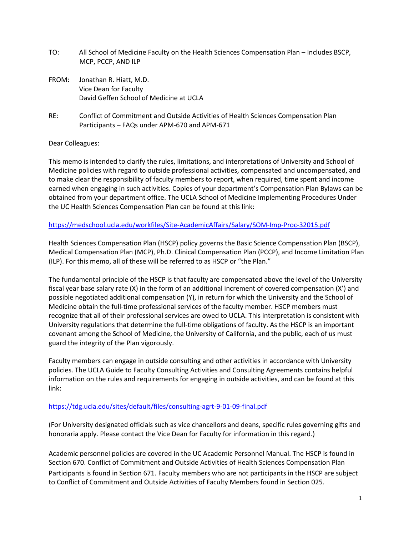- TO: All School of Medicine Faculty on the Health Sciences Compensation Plan Includes BSCP, MCP, PCCP, AND ILP
- FROM: Jonathan R. Hiatt, M.D. Vice Dean for Faculty David Geffen School of Medicine at UCLA
- RE: Conflict of Commitment and Outside Activities of Health Sciences Compensation Plan Participants – FAQs under APM-670 and APM-671

# Dear Colleagues:

This memo is intended to clarify the rules, limitations, and interpretations of University and School of Medicine policies with regard to outside professional activities, compensated and uncompensated, and to make clear the responsibility of faculty members to report, when required, time spent and income earned when engaging in such activities. Copies of your department's Compensation Plan Bylaws can be obtained from your department office. The UCLA School of Medicine Implementing Procedures Under the UC Health Sciences Compensation Plan can be found at this link:

# <https://medschool.ucla.edu/workfiles/Site-AcademicAffairs/Salary/SOM-Imp-Proc-32015.pdf>

Health Sciences Compensation Plan (HSCP) policy governs the Basic Science Compensation Plan (BSCP), Medical Compensation Plan (MCP), Ph.D. Clinical Compensation Plan (PCCP), and Income Limitation Plan (ILP). For this memo, all of these will be referred to as HSCP or "the Plan."

The fundamental principle of the HSCP is that faculty are compensated above the level of the University fiscal year base salary rate (X) in the form of an additional increment of covered compensation (X') and possible negotiated additional compensation (Y), in return for which the University and the School of Medicine obtain the full-time professional services of the faculty member. HSCP members must recognize that all of their professional services are owed to UCLA. This interpretation is consistent with University regulations that determine the full-time obligations of faculty. As the HSCP is an important covenant among the School of Medicine, the University of California, and the public, each of us must guard the integrity of the Plan vigorously.

Faculty members can engage in outside consulting and other activities in accordance with University policies. The UCLA Guide to Faculty Consulting Activities and Consulting Agreements contains helpful information on the rules and requirements for engaging in outside activities, and can be found at this link:

## <https://tdg.ucla.edu/sites/default/files/consulting-agrt-9-01-09-final.pdf>

(For University designated officials such as vice chancellors and deans, specific rules governing gifts and honoraria apply. Please contact the Vice Dean for Faculty for information in this regard.)

Academic personnel policies are covered in the UC Academic Personnel Manual. The HSCP is found in Section 670. Conflict of Commitment and Outside Activities of Health Sciences Compensation Plan Participants is found in Section 671. Faculty members who are not participants in the HSCP are subject to Conflict of Commitment and Outside Activities of Faculty Members found in Section 025.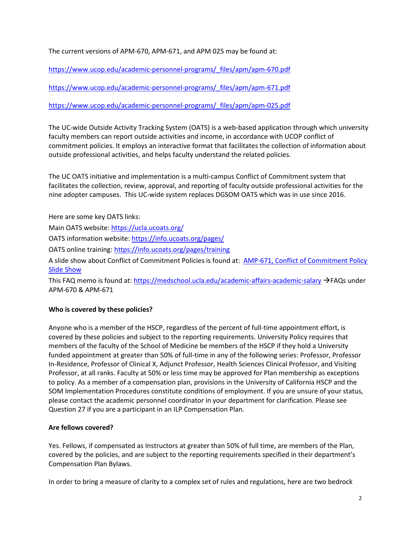The current versions of APM-670, APM-671, and APM 025 may be found at:

[https://www.ucop.edu/academic-personnel-programs/\\_files/apm/apm-670.pdf](https://www.ucop.edu/academic-personnel-programs/_files/apm/apm-670.pdf)

[https://www.ucop.edu/academic-personnel-programs/\\_files/apm/apm-671.pdf](https://www.ucop.edu/academic-personnel-programs/_files/apm/apm-671.pdf)

# [https://www.ucop.edu/academic-personnel-programs/\\_files/apm/apm-025.pdf](https://www.ucop.edu/academic-personnel-programs/_files/apm/apm-025.pdf)

The UC-wide Outside Activity Tracking System (OATS) is a web-based application through which university faculty members can report outside activities and income, in accordance with UCOP conflict of commitment policies. It employs an interactive format that facilitates the collection of information about outside professional activities, and helps faculty understand the related policies.

The UC OATS initiative and implementation is a multi-campus Conflict of Commitment system that facilitates the collection, review, approval, and reporting of faculty outside professional activities for the nine adopter campuses. This UC-wide system replaces DGSOM OATS which was in use since 2016.

Here are some key OATS links:

Main OATS website: <https://ucla.ucoats.org/>

OATS information website[: https://info.ucoats.org/pages/](https://info.ucoats.org/pages/)

OATS online training:<https://info.ucoats.org/pages/training>

A slide show about Conflict of Commitment Policies is found at: [AMP-671, Conflict of Commitment Policy](https://medschool.ucla.edu/workfiles/Site-AcademicAffairs/Salary/200226%20APM%20671%20slides.pptx)  [Slide Show](https://medschool.ucla.edu/workfiles/Site-AcademicAffairs/Salary/200226%20APM%20671%20slides.pptx)

This FAQ memo is found at:<https://medschool.ucla.edu/academic-affairs-academic-salary> → FAQs under APM-670 & APM-671

## **Who is covered by these policies?**

Anyone who is a member of the HSCP, regardless of the percent of full-time appointment effort, is covered by these policies and subject to the reporting requirements. University Policy requires that members of the faculty of the School of Medicine be members of the HSCP if they hold a University funded appointment at greater than 50% of full-time in any of the following series: Professor, Professor In-Residence, Professor of Clinical X, Adjunct Professor, Health Sciences Clinical Professor, and Visiting Professor, at all ranks. Faculty at 50% or less time may be approved for Plan membership as exceptions to policy. As a member of a compensation plan, provisions in the University of California HSCP and the SOM Implementation Procedures constitute conditions of employment. If you are unsure of your status, please contact the academic personnel coordinator in your department for clarification. Please see Question 27 if you are a participant in an ILP Compensation Plan.

## **Are fellows covered?**

Yes. Fellows, if compensated as Instructors at greater than 50% of full time, are members of the Plan, covered by the policies, and are subject to the reporting requirements specified in their department's Compensation Plan Bylaws.

In order to bring a measure of clarity to a complex set of rules and regulations, here are two bedrock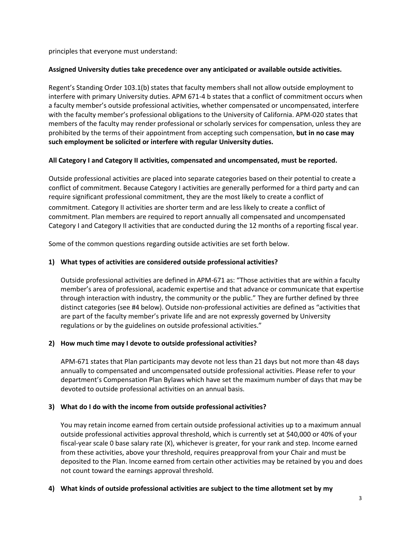principles that everyone must understand:

# **Assigned University duties take precedence over any anticipated or available outside activities.**

Regent's Standing Order 103.1(b) states that faculty members shall not allow outside employment to interfere with primary University duties. APM 671-4 b states that a conflict of commitment occurs when a faculty member's outside professional activities, whether compensated or uncompensated, interfere with the faculty member's professional obligations to the University of California. APM-020 states that members of the faculty may render professional or scholarly services for compensation, unless they are prohibited by the terms of their appointment from accepting such compensation, **but in no case may such employment be solicited or interfere with regular University duties.**

# **All Category I and Category II activities, compensated and uncompensated, must be reported.**

Outside professional activities are placed into separate categories based on their potential to create a conflict of commitment. Because Category I activities are generally performed for a third party and can require significant professional commitment, they are the most likely to create a conflict of commitment. Category II activities are shorter term and are less likely to create a conflict of commitment. Plan members are required to report annually all compensated and uncompensated Category I and Category II activities that are conducted during the 12 months of a reporting fiscal year.

Some of the common questions regarding outside activities are set forth below.

# **1) What types of activities are considered outside professional activities?**

Outside professional activities are defined in APM-671 as: "Those activities that are within a faculty member's area of professional, academic expertise and that advance or communicate that expertise through interaction with industry, the community or the public." They are further defined by three distinct categories (see #4 below). Outside non-professional activities are defined as "activities that are part of the faculty member's private life and are not expressly governed by University regulations or by the guidelines on outside professional activities."

# **2) How much time may I devote to outside professional activities?**

APM-671 states that Plan participants may devote not less than 21 days but not more than 48 days annually to compensated and uncompensated outside professional activities. Please refer to your department's Compensation Plan Bylaws which have set the maximum number of days that may be devoted to outside professional activities on an annual basis.

## **3) What do I do with the income from outside professional activities?**

You may retain income earned from certain outside professional activities up to a maximum annual outside professional activities approval threshold, which is currently set at \$40,000 or 40% of your fiscal-year scale 0 base salary rate (X), whichever is greater, for your rank and step. Income earned from these activities, above your threshold, requires preapproval from your Chair and must be deposited to the Plan. Income earned from certain other activities may be retained by you and does not count toward the earnings approval threshold.

## **4) What kinds of outside professional activities are subject to the time allotment set by my**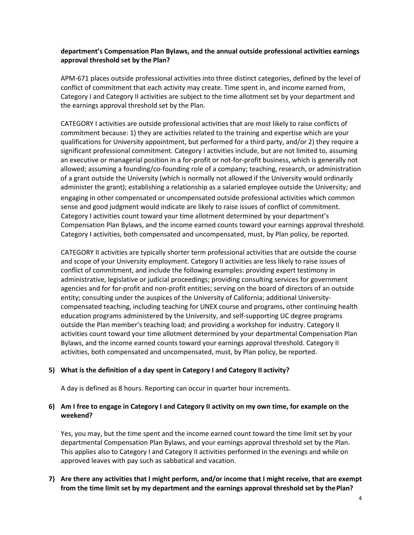# **department's Compensation Plan Bylaws, and the annual outside professional activities earnings approval threshold set by the Plan?**

APM-671 places outside professional activities into three distinct categories, defined by the level of conflict of commitment that each activity may create. Time spent in, and income earned from, Category I and Category II activities are subject to the time allotment set by your department and the earnings approval threshold set by the Plan.

CATEGORY I activities are outside professional activities that are most likely to raise conflicts of commitment because: 1) they are activities related to the training and expertise which are your qualifications for University appointment, but performed for a third party, and/or 2) they require a significant professional commitment. Category I activities include, but are not limited to, assuming an executive or managerial position in a for-profit or not-for-profit business, which is generally not allowed; assuming a founding/co-founding role of a company; teaching, research, or administration of a grant outside the University (which is normally not allowed if the University would ordinarily administer the grant); establishing a relationship as a salaried employee outside the University; and engaging in other compensated or uncompensated outside professional activities which common sense and good judgment would indicate are likely to raise issues of conflict of commitment. Category I activities count toward your time allotment determined by your department's Compensation Plan Bylaws, and the income earned counts toward your earnings approval threshold. Category I activities, both compensated and uncompensated, must, by Plan policy, be reported.

CATEGORY II activities are typically shorter term professional activities that are outside the course and scope of your University employment. Category II activities are less likely to raise issues of conflict of commitment, and include the following examples: providing expert testimony in administrative, legislative or judicial proceedings; providing consulting services for government agencies and for for-profit and non-profit entities; serving on the board of directors of an outside entity; consulting under the auspices of the University of California; additional Universitycompensated teaching, including teaching for UNEX course and programs, other continuing health education programs administered by the University, and self-supporting UC degree programs outside the Plan member's teaching load; and providing a workshop for industry. Category II activities count toward your time allotment determined by your departmental Compensation Plan Bylaws, and the income earned counts toward your earnings approval threshold. Category II activities, both compensated and uncompensated, must, by Plan policy, be reported.

## **5) What is the definition of a day spent in Category I and Category II activity?**

A day is defined as 8 hours. Reporting can occur in quarter hour increments.

# **6) Am I free to engage in Category I and Category II activity on my own time, for example on the weekend?**

Yes, you may, but the time spent and the income earned count toward the time limit set by your departmental Compensation Plan Bylaws, and your earnings approval threshold set by the Plan. This applies also to Category I and Category II activities performed in the evenings and while on approved leaves with pay such as sabbatical and vacation.

# **7) Are there any activities that I might perform, and/or income that I might receive, that are exempt from the time limit set by my department and the earnings approval threshold set by thePlan?**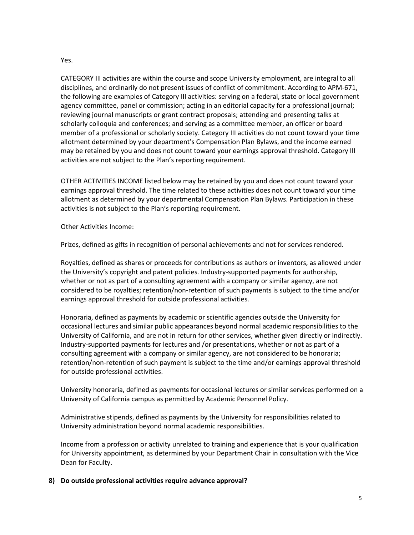#### Yes.

CATEGORY III activities are within the course and scope University employment, are integral to all disciplines, and ordinarily do not present issues of conflict of commitment. According to APM-671, the following are examples of Category III activities: serving on a federal, state or local government agency committee, panel or commission; acting in an editorial capacity for a professional journal; reviewing journal manuscripts or grant contract proposals; attending and presenting talks at scholarly colloquia and conferences; and serving as a committee member, an officer or board member of a professional or scholarly society. Category III activities do not count toward your time allotment determined by your department's Compensation Plan Bylaws, and the income earned may be retained by you and does not count toward your earnings approval threshold. Category III activities are not subject to the Plan's reporting requirement.

OTHER ACTIVITIES INCOME listed below may be retained by you and does not count toward your earnings approval threshold. The time related to these activities does not count toward your time allotment as determined by your departmental Compensation Plan Bylaws. Participation in these activities is not subject to the Plan's reporting requirement.

Other Activities Income:

Prizes, defined as gifts in recognition of personal achievements and not for services rendered.

Royalties, defined as shares or proceeds for contributions as authors or inventors, as allowed under the University's copyright and patent policies. Industry-supported payments for authorship, whether or not as part of a consulting agreement with a company or similar agency, are not considered to be royalties; retention/non-retention of such payments is subject to the time and/or earnings approval threshold for outside professional activities.

Honoraria, defined as payments by academic or scientific agencies outside the University for occasional lectures and similar public appearances beyond normal academic responsibilities to the University of California, and are not in return for other services, whether given directly or indirectly. Industry-supported payments for lectures and /or presentations, whether or not as part of a consulting agreement with a company or similar agency, are not considered to be honoraria; retention/non-retention of such payment is subject to the time and/or earnings approval threshold for outside professional activities.

University honoraria, defined as payments for occasional lectures or similar services performed on a University of California campus as permitted by Academic Personnel Policy.

Administrative stipends, defined as payments by the University for responsibilities related to University administration beyond normal academic responsibilities.

Income from a profession or activity unrelated to training and experience that is your qualification for University appointment, as determined by your Department Chair in consultation with the Vice Dean for Faculty.

## **8) Do outside professional activities require advance approval?**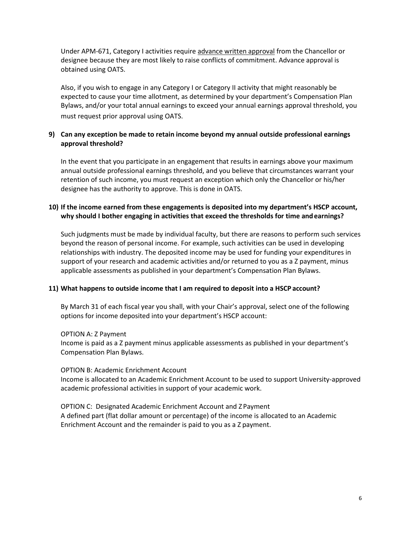Under APM-671, Category I activities require advance written approval from the Chancellor or designee because they are most likely to raise conflicts of commitment. Advance approval is obtained using OATS.

Also, if you wish to engage in any Category I or Category II activity that might reasonably be expected to cause your time allotment, as determined by your department's Compensation Plan Bylaws, and/or your total annual earnings to exceed your annual earnings approval threshold, you must request prior approval using OATS.

## **9) Can any exception be made to retain income beyond my annual outside professional earnings approval threshold?**

In the event that you participate in an engagement that results in earnings above your maximum annual outside professional earnings threshold, and you believe that circumstances warrant your retention of such income, you must request an exception which only the Chancellor or his/her designee has the authority to approve. This is done in OATS.

# **10) If the income earned from these engagements is deposited into my department's HSCP account, why should I bother engaging in activities that exceed the thresholds for time andearnings?**

Such judgments must be made by individual faculty, but there are reasons to perform such services beyond the reason of personal income. For example, such activities can be used in developing relationships with industry. The deposited income may be used for funding your expenditures in support of your research and academic activities and/or returned to you as a Z payment, minus applicable assessments as published in your department's Compensation Plan Bylaws.

## **11) What happens to outside income that I am required to deposit into a HSCP account?**

By March 31 of each fiscal year you shall, with your Chair's approval, select one of the following options for income deposited into your department's HSCP account:

OPTION A: Z Payment Income is paid as a Z payment minus applicable assessments as published in your department's Compensation Plan Bylaws.

OPTION B: Academic Enrichment Account Income is allocated to an Academic Enrichment Account to be used to support University-approved academic professional activities in support of your academic work.

OPTION C: Designated Academic Enrichment Account and Z Payment A defined part (flat dollar amount or percentage) of the income is allocated to an Academic Enrichment Account and the remainder is paid to you as a Z payment.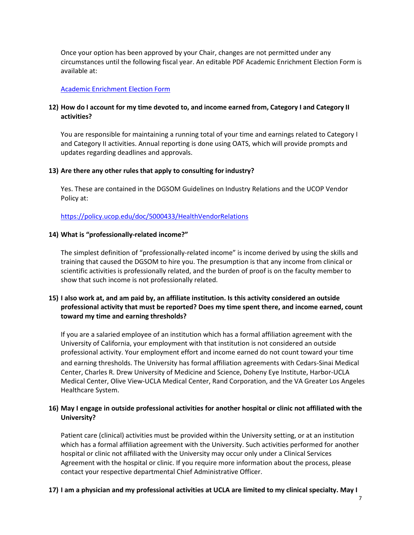Once your option has been approved by your Chair, changes are not permitted under any circumstances until the following fiscal year. An editable PDF Academic Enrichment Election Form is available at:

#### [Academic Enrichment Election Form](https://medschool.ucla.edu/workfiles/Site-AcademicAffairs/Salary/AE%20Election%20Form%202020-2021.pdf)

# 12) How do I account for my time devoted to, and income earned from, Category I and Category II **activities?**

You are responsible for maintaining a running total of your time and earnings related to Category I and Category II activities. Annual reporting is done using OATS, which will provide prompts and updates regarding deadlines and approvals.

## **13) Are there any other rules that apply to consulting forindustry?**

Yes. These are contained in the DGSOM Guidelines on Industry Relations and the UCOP Vendor Policy at:

<https://policy.ucop.edu/doc/5000433/HealthVendorRelations>

#### **14) What is "professionally-related income?"**

The simplest definition of "professionally-related income" is income derived by using the skills and training that caused the DGSOM to hire you. The presumption is that any income from clinical or scientific activities is professionally related, and the burden of proof is on the faculty member to show that such income is not professionally related.

# **15) I also work at, and am paid by, an affiliate institution. Is this activity considered an outside professional activity that must be reported? Does my time spent there, and income earned, count toward my time and earning thresholds?**

If you are a salaried employee of an institution which has a formal affiliation agreement with the University of California, your employment with that institution is not considered an outside professional activity. Your employment effort and income earned do not count toward your time and earning thresholds. The University has formal affiliation agreements with Cedars-Sinai Medical Center, Charles R. Drew University of Medicine and Science, Doheny Eye Institute, Harbor-UCLA Medical Center, Olive View-UCLA Medical Center, Rand Corporation, and the VA Greater Los Angeles Healthcare System.

# **16) May I engage in outside professional activities for another hospital or clinic not affiliated with the University?**

Patient care (clinical) activities must be provided within the University setting, or at an institution which has a formal affiliation agreement with the University. Such activities performed for another hospital or clinic not affiliated with the University may occur only under a Clinical Services Agreement with the hospital or clinic. If you require more information about the process, please contact your respective departmental Chief Administrative Officer.

## **17) I am a physician and my professional activities at UCLA are limited to my clinical specialty. May I**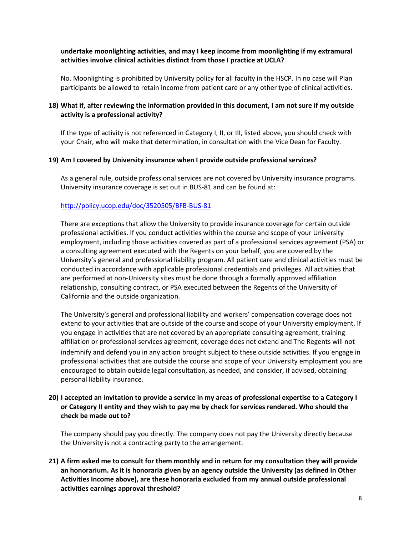# **undertake moonlighting activities, and may I keep income from moonlighting if my extramural activities involve clinical activities distinct from those I practice at UCLA?**

No. Moonlighting is prohibited by University policy for all faculty in the HSCP. In no case will Plan participants be allowed to retain income from patient care or any other type of clinical activities.

# **18) What if, after reviewing the information provided in this document, I am not sure if my outside activity is a professional activity?**

If the type of activity is not referenced in Category I, II, or III, listed above, you should check with your Chair, who will make that determination, in consultation with the Vice Dean for Faculty.

#### **19) Am I covered by University insurance when I provide outside professionalservices?**

As a general rule, outside professional services are not covered by University insurance programs. University insurance coverage is set out in BUS-81 and can be found at:

## <http://policy.ucop.edu/doc/3520505/BFB-BUS-81>

There are exceptions that allow the University to provide insurance coverage for certain outside professional activities. If you conduct activities within the course and scope of your University employment, including those activities covered as part of a professional services agreement (PSA) or a consulting agreement executed with the Regents on your behalf, you are covered by the University's general and professional liability program. All patient care and clinical activities must be conducted in accordance with applicable professional credentials and privileges. All activities that are performed at non-University sites must be done through a formally approved affiliation relationship, consulting contract, or PSA executed between the Regents of the University of California and the outside organization.

The University's general and professional liability and workers' compensation coverage does not extend to your activities that are outside of the course and scope of your University employment. If you engage in activities that are not covered by an appropriate consulting agreement, training affiliation or professional services agreement, coverage does not extend and The Regents will not indemnify and defend you in any action brought subject to these outside activities. If you engage in professional activities that are outside the course and scope of your University employment you are encouraged to obtain outside legal consultation, as needed, and consider, if advised, obtaining personal liability insurance.

## **20) I accepted an invitation to provide a service in my areas of professional expertise to a Category I or Category II entity and they wish to pay me by check for services rendered. Who should the check be made out to?**

The company should pay you directly. The company does not pay the University directly because the University is not a contracting party to the arrangement.

**21) A firm asked me to consult for them monthly and in return for my consultation they will provide an honorarium. As it is honoraria given by an agency outside the University (as defined in Other Activities Income above), are these honoraria excluded from my annual outside professional activities earnings approval threshold?**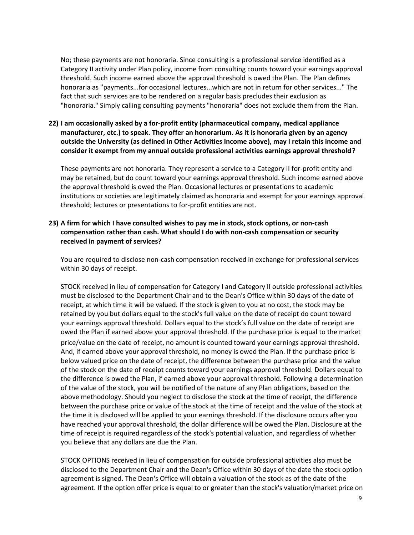No; these payments are not honoraria. Since consulting is a professional service identified as a Category II activity under Plan policy, income from consulting counts toward your earnings approval threshold. Such income earned above the approval threshold is owed the Plan. The Plan defines honoraria as "payments...for occasional lectures...which are not in return for other services..." The fact that such services are to be rendered on a regular basis precludes their exclusion as "honoraria." Simply calling consulting payments "honoraria" does not exclude them from the Plan.

# **22) I am occasionally asked by a for-profit entity (pharmaceutical company, medical appliance manufacturer, etc.) to speak. They offer an honorarium. As it is honoraria given by an agency outside the University (as defined in Other Activities Income above), may I retain this income and consider it exempt from my annual outside professional activities earnings approval threshold?**

These payments are not honoraria. They represent a service to a Category II for-profit entity and may be retained, but do count toward your earnings approval threshold. Such income earned above the approval threshold is owed the Plan. Occasional lectures or presentations to academic institutions or societies are legitimately claimed as honoraria and exempt for your earnings approval threshold; lectures or presentations to for-profit entities are not.

# **23) A firm for which I have consulted wishes to pay me in stock, stock options, or non-cash compensation rather than cash. What should I do with non-cash compensation or security received in payment of services?**

You are required to disclose non-cash compensation received in exchange for professional services within 30 days of receipt.

STOCK received in lieu of compensation for Category I and Category II outside professional activities must be disclosed to the Department Chair and to the Dean's Office within 30 days of the date of receipt, at which time it will be valued. If the stock is given to you at no cost, the stock may be retained by you but dollars equal to the stock's full value on the date of receipt do count toward your earnings approval threshold. Dollars equal to the stock's full value on the date of receipt are owed the Plan if earned above your approval threshold. If the purchase price is equal to the market price/value on the date of receipt, no amount is counted toward your earnings approval threshold. And, if earned above your approval threshold, no money is owed the Plan. If the purchase price is below valued price on the date of receipt, the difference between the purchase price and the value of the stock on the date of receipt counts toward your earnings approval threshold. Dollars equal to the difference is owed the Plan, if earned above your approval threshold. Following a determination of the value of the stock, you will be notified of the nature of any Plan obligations, based on the above methodology. Should you neglect to disclose the stock at the time of receipt, the difference between the purchase price or value of the stock at the time of receipt and the value of the stock at the time it is disclosed will be applied to your earnings threshold. If the disclosure occurs after you have reached your approval threshold, the dollar difference will be owed the Plan. Disclosure at the time of receipt is required regardless of the stock's potential valuation, and regardless of whether you believe that any dollars are due the Plan.

STOCK OPTIONS received in lieu of compensation for outside professional activities also must be disclosed to the Department Chair and the Dean's Office within 30 days of the date the stock option agreement is signed. The Dean's Office will obtain a valuation of the stock as of the date of the agreement. If the option offer price is equal to or greater than the stock's valuation/market price on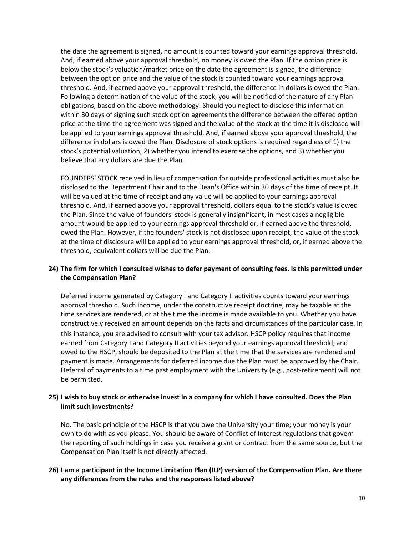the date the agreement is signed, no amount is counted toward your earnings approval threshold. And, if earned above your approval threshold, no money is owed the Plan. If the option price is below the stock's valuation/market price on the date the agreement is signed, the difference between the option price and the value of the stock is counted toward your earnings approval threshold. And, if earned above your approval threshold, the difference in dollars is owed the Plan. Following a determination of the value of the stock, you will be notified of the nature of any Plan obligations, based on the above methodology. Should you neglect to disclose this information within 30 days of signing such stock option agreements the difference between the offered option price at the time the agreement was signed and the value of the stock at the time it is disclosed will be applied to your earnings approval threshold. And, if earned above your approval threshold, the difference in dollars is owed the Plan. Disclosure of stock options is required regardless of 1) the stock's potential valuation, 2) whether you intend to exercise the options, and 3) whether you believe that any dollars are due the Plan.

FOUNDERS' STOCK received in lieu of compensation for outside professional activities must also be disclosed to the Department Chair and to the Dean's Office within 30 days of the time of receipt. It will be valued at the time of receipt and any value will be applied to your earnings approval threshold. And, if earned above your approval threshold, dollars equal to the stock's value is owed the Plan. Since the value of founders' stock is generally insignificant, in most cases a negligible amount would be applied to your earnings approval threshold or, if earned above the threshold, owed the Plan. However, if the founders' stock is not disclosed upon receipt, the value of the stock at the time of disclosure will be applied to your earnings approval threshold, or, if earned above the threshold, equivalent dollars will be due the Plan.

# **24) The firm for which I consulted wishes to defer payment of consulting fees. Is this permitted under the Compensation Plan?**

Deferred income generated by Category I and Category II activities counts toward your earnings approval threshold. Such income, under the constructive receipt doctrine, may be taxable at the time services are rendered, or at the time the income is made available to you. Whether you have constructively received an amount depends on the facts and circumstances of the particular case. In this instance, you are advised to consult with your tax advisor. HSCP policy requires that income earned from Category I and Category II activities beyond your earnings approval threshold, and owed to the HSCP, should be deposited to the Plan at the time that the services are rendered and payment is made. Arrangements for deferred income due the Plan must be approved by the Chair. Deferral of payments to a time past employment with the University (e.g., post-retirement) will not be permitted.

# **25) I wish to buy stock or otherwise invest in a company for which I have consulted. Does the Plan limit such investments?**

No. The basic principle of the HSCP is that you owe the University your time; your money is your own to do with as you please. You should be aware of Conflict of Interest regulations that govern the reporting of such holdings in case you receive a grant or contract from the same source, but the Compensation Plan itself is not directly affected.

# **26) I am a participant in the Income Limitation Plan (ILP) version of the Compensation Plan. Are there any differences from the rules and the responses listed above?**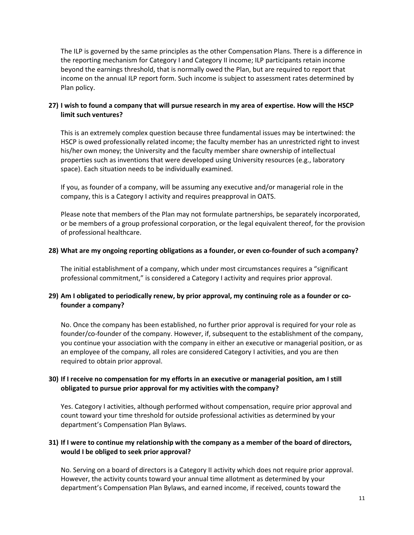The ILP is governed by the same principles as the other Compensation Plans. There is a difference in the reporting mechanism for Category I and Category II income; ILP participants retain income beyond the earnings threshold, that is normally owed the Plan, but are required to report that income on the annual ILP report form. Such income is subject to assessment rates determined by Plan policy.

# **27) I wish to found a company that will pursue research in my area of expertise. How will the HSCP limit such ventures?**

This is an extremely complex question because three fundamental issues may be intertwined: the HSCP is owed professionally related income; the faculty member has an unrestricted right to invest his/her own money; the University and the faculty member share ownership of intellectual properties such as inventions that were developed using University resources (e.g., laboratory space). Each situation needs to be individually examined.

If you, as founder of a company, will be assuming any executive and/or managerial role in the company, this is a Category I activity and requires preapproval in OATS.

Please note that members of the Plan may not formulate partnerships, be separately incorporated, or be members of a group professional corporation, or the legal equivalent thereof, for the provision of professional healthcare.

#### **28) What are my ongoing reporting obligations as a founder, or even co-founder of such acompany?**

The initial establishment of a company, which under most circumstances requires a "significant professional commitment," is considered a Category I activity and requires prior approval.

# **29) Am I obligated to periodically renew, by prior approval, my continuing role as a founder or cofounder a company?**

No. Once the company has been established, no further prior approval is required for your role as founder/co-founder of the company. However, if, subsequent to the establishment of the company, you continue your association with the company in either an executive or managerial position, or as an employee of the company, all roles are considered Category I activities, and you are then required to obtain prior approval.

# **30) If I receive no compensation for my efforts in an executive or managerial position, am I still obligated to pursue prior approval for my activities with the company?**

Yes. Category I activities, although performed without compensation, require prior approval and count toward your time threshold for outside professional activities as determined by your department's Compensation Plan Bylaws.

## **31) If I were to continue my relationship with the company as a member of the board of directors, would I be obliged to seek prior approval?**

No. Serving on a board of directors is a Category II activity which does not require prior approval. However, the activity counts toward your annual time allotment as determined by your department's Compensation Plan Bylaws, and earned income, if received, counts toward the